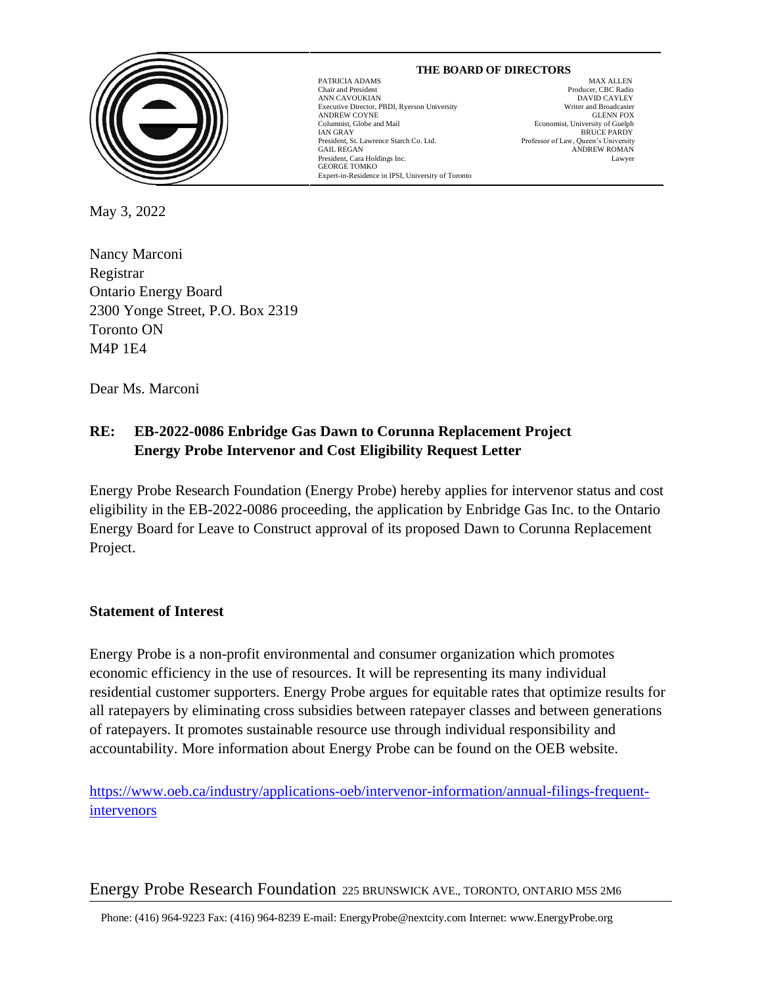

#### PATRICIA ADAMS MAX ALLEN Chair and President Producer, CBC Radio ANN CAVOUKIAN<br>
Executive Director. PBDI. Rverson University<br>
Executive Director. PBDI. Rverson University<br>
University<br>
David Director and Broadcaster Executive Director, PBDI, Ryerson University Writer and Broadcaster<br>ANDREW COYNE GLENN FOX ANDREW COYNE<br>Columnist, Globe and Mail IAN GRAY BRUCE PARDY President, St. Lawrence Starch Co. Ltd. GAIL REGAN GAIL REGAN ANDREW ROMAN AND AND AND AND A SANDA AND A SANDA AND A SANDA AND A SANDA AND A SANDA AND A SANDA AND A SANDA AND A SANDA AND A SANDA AND A SANDA A SANDA A SANDA A SANDA A SANDA A SANDA A SANDA A SANDA A SANDA A President, Cara Holdings Inc. Lawyer GEORGE TOMKO Expert-in-Residence in IPSI, University of Toronto

 **THE BOARD OF DIRECTORS** Economist, University of Guelph

May 3, 2022

Nancy Marconi Registrar Ontario Energy Board 2300 Yonge Street, P.O. Box 2319 Toronto ON M4P 1E4

Dear Ms. Marconi

# **RE: EB-2022-0086 Enbridge Gas Dawn to Corunna Replacement Project Energy Probe Intervenor and Cost Eligibility Request Letter**

 $\overline{a}$ 

Energy Probe Research Foundation (Energy Probe) hereby applies for intervenor status and cost eligibility in the EB-2022-0086 proceeding, the application by Enbridge Gas Inc. to the Ontario Energy Board for Leave to Construct approval of its proposed Dawn to Corunna Replacement Project.

## **Statement of Interest**

Energy Probe is a non-profit environmental and consumer organization which promotes economic efficiency in the use of resources. It will be representing its many individual residential customer supporters. Energy Probe argues for equitable rates that optimize results for all ratepayers by eliminating cross subsidies between ratepayer classes and between generations of ratepayers. It promotes sustainable resource use through individual responsibility and accountability. More information about Energy Probe can be found on the OEB website.

[https://www.oeb.ca/industry/applications-oeb/intervenor-information/annual-filings-frequent](https://www.oeb.ca/industry/applications-oeb/intervenor-information/annual-filings-frequent-intervenors)[intervenors](https://www.oeb.ca/industry/applications-oeb/intervenor-information/annual-filings-frequent-intervenors)

## Energy Probe Research Foundation 225 BRUNSWICK AVE., TORONTO, ONTARIO M5S 2M6

Phone: (416) 964-9223 Fax: (416) 964-8239 E-mail: EnergyProbe@nextcity.com Internet: www.EnergyProbe.org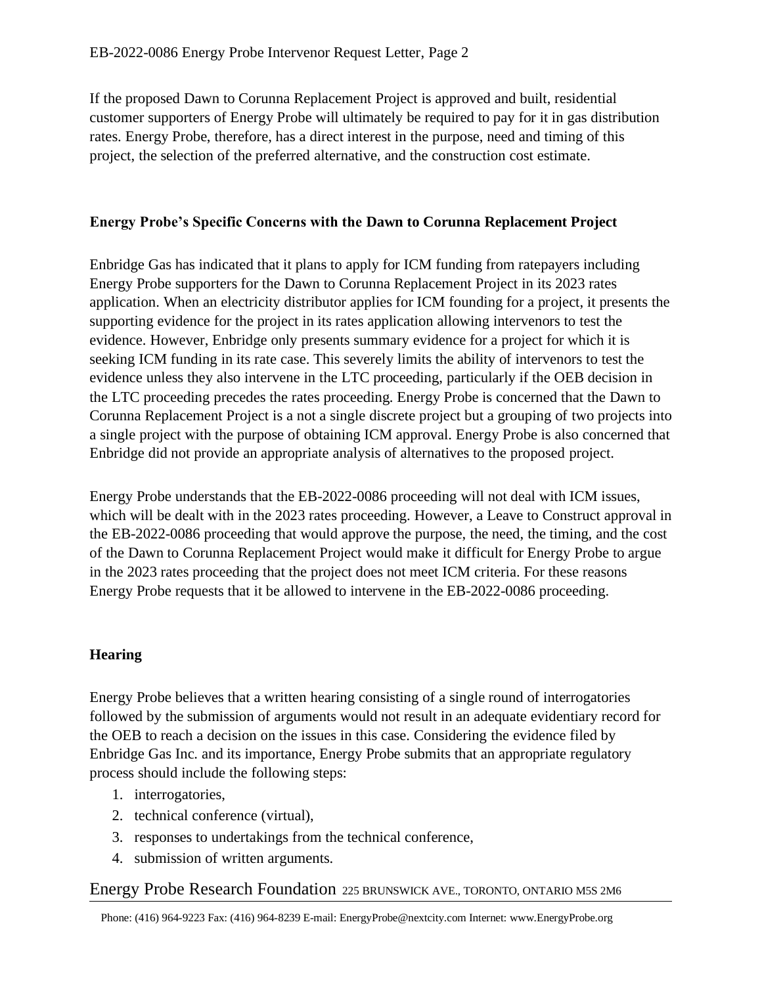If the proposed Dawn to Corunna Replacement Project is approved and built, residential customer supporters of Energy Probe will ultimately be required to pay for it in gas distribution rates. Energy Probe, therefore, has a direct interest in the purpose, need and timing of this project, the selection of the preferred alternative, and the construction cost estimate.

## **Energy Probe's Specific Concerns with the Dawn to Corunna Replacement Project**

Enbridge Gas has indicated that it plans to apply for ICM funding from ratepayers including Energy Probe supporters for the Dawn to Corunna Replacement Project in its 2023 rates application. When an electricity distributor applies for ICM founding for a project, it presents the supporting evidence for the project in its rates application allowing intervenors to test the evidence. However, Enbridge only presents summary evidence for a project for which it is seeking ICM funding in its rate case. This severely limits the ability of intervenors to test the evidence unless they also intervene in the LTC proceeding, particularly if the OEB decision in the LTC proceeding precedes the rates proceeding. Energy Probe is concerned that the Dawn to Corunna Replacement Project is a not a single discrete project but a grouping of two projects into a single project with the purpose of obtaining ICM approval. Energy Probe is also concerned that Enbridge did not provide an appropriate analysis of alternatives to the proposed project.

Energy Probe understands that the EB-2022-0086 proceeding will not deal with ICM issues, which will be dealt with in the 2023 rates proceeding. However, a Leave to Construct approval in the EB-2022-0086 proceeding that would approve the purpose, the need, the timing, and the cost of the Dawn to Corunna Replacement Project would make it difficult for Energy Probe to argue in the 2023 rates proceeding that the project does not meet ICM criteria. For these reasons Energy Probe requests that it be allowed to intervene in the EB-2022-0086 proceeding.

## **Hearing**

Energy Probe believes that a written hearing consisting of a single round of interrogatories followed by the submission of arguments would not result in an adequate evidentiary record for the OEB to reach a decision on the issues in this case. Considering the evidence filed by Enbridge Gas Inc. and its importance, Energy Probe submits that an appropriate regulatory process should include the following steps:

- 1. interrogatories,
- 2. technical conference (virtual),
- 3. responses to undertakings from the technical conference,
- 4. submission of written arguments.

## Energy Probe Research Foundation 225 BRUNSWICK AVE., TORONTO, ONTARIO M5S 2M6